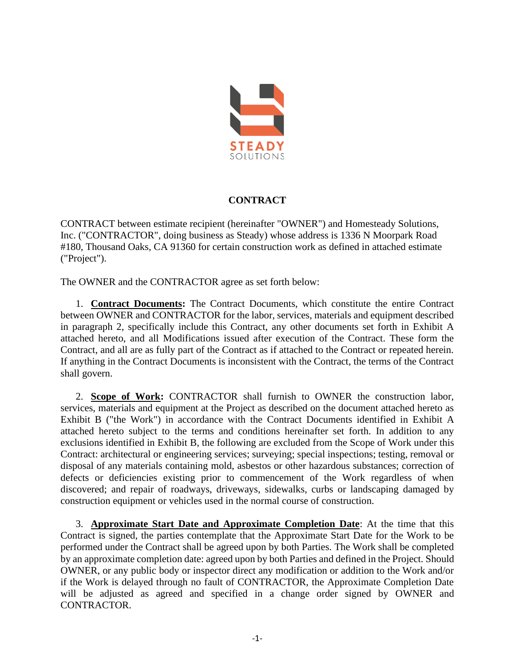

# **CONTRACT**

CONTRACT between estimate recipient (hereinafter "OWNER") and Homesteady Solutions, Inc. ("CONTRACTOR", doing business as Steady) whose address is 1336 N Moorpark Road #180, Thousand Oaks, CA 91360 for certain construction work as defined in attached estimate ("Project").

The OWNER and the CONTRACTOR agree as set forth below:

1. **Contract Documents:** The Contract Documents, which constitute the entire Contract between OWNER and CONTRACTOR for the labor, services, materials and equipment described in paragraph 2, specifically include this Contract, any other documents set forth in Exhibit A attached hereto, and all Modifications issued after execution of the Contract. These form the Contract, and all are as fully part of the Contract as if attached to the Contract or repeated herein. If anything in the Contract Documents is inconsistent with the Contract, the terms of the Contract shall govern.

2. **Scope of Work:** CONTRACTOR shall furnish to OWNER the construction labor, services, materials and equipment at the Project as described on the document attached hereto as Exhibit B ("the Work") in accordance with the Contract Documents identified in Exhibit A attached hereto subject to the terms and conditions hereinafter set forth. In addition to any exclusions identified in Exhibit B, the following are excluded from the Scope of Work under this Contract: architectural or engineering services; surveying; special inspections; testing, removal or disposal of any materials containing mold, asbestos or other hazardous substances; correction of defects or deficiencies existing prior to commencement of the Work regardless of when discovered; and repair of roadways, driveways, sidewalks, curbs or landscaping damaged by construction equipment or vehicles used in the normal course of construction.

3. **Approximate Start Date and Approximate Completion Date**: At the time that this Contract is signed, the parties contemplate that the Approximate Start Date for the Work to be performed under the Contract shall be agreed upon by both Parties. The Work shall be completed by an approximate completion date: agreed upon by both Parties and defined in the Project. Should OWNER, or any public body or inspector direct any modification or addition to the Work and/or if the Work is delayed through no fault of CONTRACTOR, the Approximate Completion Date will be adjusted as agreed and specified in a change order signed by OWNER and CONTRACTOR.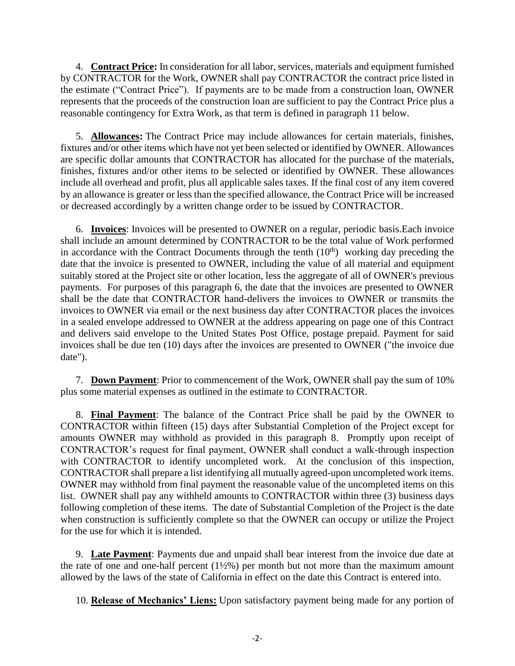4. **Contract Price:** In consideration for all labor, services, materials and equipment furnished by CONTRACTOR for the Work, OWNER shall pay CONTRACTOR the contract price listed in the estimate ("Contract Price"). If payments are to be made from a construction loan, OWNER represents that the proceeds of the construction loan are sufficient to pay the Contract Price plus a reasonable contingency for Extra Work, as that term is defined in paragraph 11 below.

5. **Allowances:** The Contract Price may include allowances for certain materials, finishes, fixtures and/or other items which have not yet been selected or identified by OWNER. Allowances are specific dollar amounts that CONTRACTOR has allocated for the purchase of the materials, finishes, fixtures and/or other items to be selected or identified by OWNER. These allowances include all overhead and profit, plus all applicable sales taxes. If the final cost of any item covered by an allowance is greater or less than the specified allowance, the Contract Price will be increased or decreased accordingly by a written change order to be issued by CONTRACTOR.

6. **Invoices**: Invoices will be presented to OWNER on a regular, periodic basis.Each invoice shall include an amount determined by CONTRACTOR to be the total value of Work performed in accordance with the Contract Documents through the tenth  $(10<sup>th</sup>)$  working day preceding the date that the invoice is presented to OWNER, including the value of all material and equipment suitably stored at the Project site or other location, less the aggregate of all of OWNER's previous payments. For purposes of this paragraph 6, the date that the invoices are presented to OWNER shall be the date that CONTRACTOR hand-delivers the invoices to OWNER or transmits the invoices to OWNER via email or the next business day after CONTRACTOR places the invoices in a sealed envelope addressed to OWNER at the address appearing on page one of this Contract and delivers said envelope to the United States Post Office, postage prepaid. Payment for said invoices shall be due ten (10) days after the invoices are presented to OWNER ("the invoice due date").

7. **Down Payment**: Prior to commencement of the Work, OWNER shall pay the sum of 10% plus some material expenses as outlined in the estimate to CONTRACTOR.

8. **Final Payment**: The balance of the Contract Price shall be paid by the OWNER to CONTRACTOR within fifteen (15) days after Substantial Completion of the Project except for amounts OWNER may withhold as provided in this paragraph 8. Promptly upon receipt of CONTRACTOR's request for final payment, OWNER shall conduct a walk-through inspection with CONTRACTOR to identify uncompleted work. At the conclusion of this inspection, CONTRACTOR shall prepare a list identifying all mutually agreed-upon uncompleted work items. OWNER may withhold from final payment the reasonable value of the uncompleted items on this list. OWNER shall pay any withheld amounts to CONTRACTOR within three (3) business days following completion of these items. The date of Substantial Completion of the Project is the date when construction is sufficiently complete so that the OWNER can occupy or utilize the Project for the use for which it is intended.

9. **Late Payment**: Payments due and unpaid shall bear interest from the invoice due date at the rate of one and one-half percent  $(1\frac{1}{2}\%)$  per month but not more than the maximum amount allowed by the laws of the state of California in effect on the date this Contract is entered into.

10. **Release of Mechanics' Liens:** Upon satisfactory payment being made for any portion of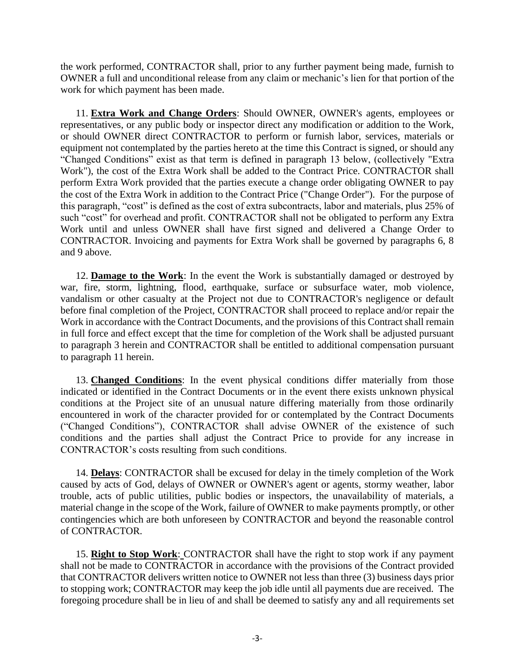the work performed, CONTRACTOR shall, prior to any further payment being made, furnish to OWNER a full and unconditional release from any claim or mechanic's lien for that portion of the work for which payment has been made.

11. **Extra Work and Change Orders**: Should OWNER, OWNER's agents, employees or representatives, or any public body or inspector direct any modification or addition to the Work, or should OWNER direct CONTRACTOR to perform or furnish labor, services, materials or equipment not contemplated by the parties hereto at the time this Contract is signed, or should any "Changed Conditions" exist as that term is defined in paragraph 13 below, (collectively "Extra Work"), the cost of the Extra Work shall be added to the Contract Price. CONTRACTOR shall perform Extra Work provided that the parties execute a change order obligating OWNER to pay the cost of the Extra Work in addition to the Contract Price ("Change Order"). For the purpose of this paragraph, "cost" is defined as the cost of extra subcontracts, labor and materials, plus 25% of such "cost" for overhead and profit. CONTRACTOR shall not be obligated to perform any Extra Work until and unless OWNER shall have first signed and delivered a Change Order to CONTRACTOR. Invoicing and payments for Extra Work shall be governed by paragraphs 6, 8 and 9 above.

12. **Damage to the Work**: In the event the Work is substantially damaged or destroyed by war, fire, storm, lightning, flood, earthquake, surface or subsurface water, mob violence, vandalism or other casualty at the Project not due to CONTRACTOR's negligence or default before final completion of the Project, CONTRACTOR shall proceed to replace and/or repair the Work in accordance with the Contract Documents, and the provisions of this Contract shall remain in full force and effect except that the time for completion of the Work shall be adjusted pursuant to paragraph 3 herein and CONTRACTOR shall be entitled to additional compensation pursuant to paragraph 11 herein.

13. **Changed Conditions**: In the event physical conditions differ materially from those indicated or identified in the Contract Documents or in the event there exists unknown physical conditions at the Project site of an unusual nature differing materially from those ordinarily encountered in work of the character provided for or contemplated by the Contract Documents ("Changed Conditions"), CONTRACTOR shall advise OWNER of the existence of such conditions and the parties shall adjust the Contract Price to provide for any increase in CONTRACTOR's costs resulting from such conditions.

14. **Delays**: CONTRACTOR shall be excused for delay in the timely completion of the Work caused by acts of God, delays of OWNER or OWNER's agent or agents, stormy weather, labor trouble, acts of public utilities, public bodies or inspectors, the unavailability of materials, a material change in the scope of the Work, failure of OWNER to make payments promptly, or other contingencies which are both unforeseen by CONTRACTOR and beyond the reasonable control of CONTRACTOR.

15. **Right to Stop Work**: CONTRACTOR shall have the right to stop work if any payment shall not be made to CONTRACTOR in accordance with the provisions of the Contract provided that CONTRACTOR delivers written notice to OWNER not less than three (3) business days prior to stopping work; CONTRACTOR may keep the job idle until all payments due are received. The foregoing procedure shall be in lieu of and shall be deemed to satisfy any and all requirements set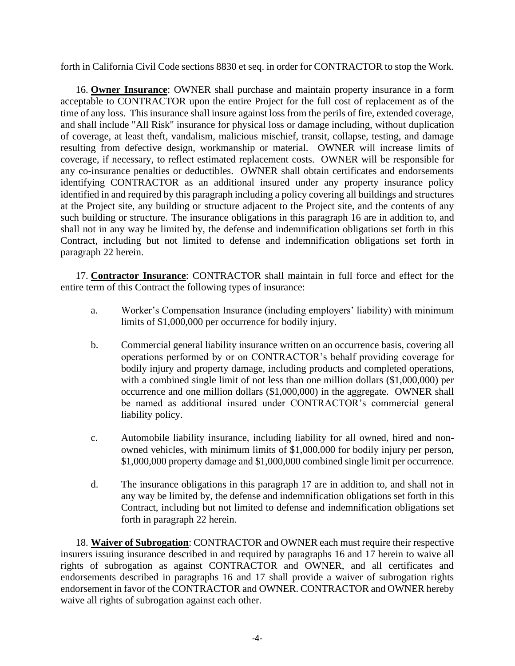forth in California Civil Code sections 8830 et seq. in order for CONTRACTOR to stop the Work.

16. **Owner Insurance**: OWNER shall purchase and maintain property insurance in a form acceptable to CONTRACTOR upon the entire Project for the full cost of replacement as of the time of any loss. This insurance shall insure against loss from the perils of fire, extended coverage, and shall include "All Risk" insurance for physical loss or damage including, without duplication of coverage, at least theft, vandalism, malicious mischief, transit, collapse, testing, and damage resulting from defective design, workmanship or material. OWNER will increase limits of coverage, if necessary, to reflect estimated replacement costs. OWNER will be responsible for any co-insurance penalties or deductibles. OWNER shall obtain certificates and endorsements identifying CONTRACTOR as an additional insured under any property insurance policy identified in and required by this paragraph including a policy covering all buildings and structures at the Project site, any building or structure adjacent to the Project site, and the contents of any such building or structure. The insurance obligations in this paragraph 16 are in addition to, and shall not in any way be limited by, the defense and indemnification obligations set forth in this Contract, including but not limited to defense and indemnification obligations set forth in paragraph 22 herein.

17. **Contractor Insurance**: CONTRACTOR shall maintain in full force and effect for the entire term of this Contract the following types of insurance:

- a. Worker's Compensation Insurance (including employers' liability) with minimum limits of \$1,000,000 per occurrence for bodily injury.
- b. Commercial general liability insurance written on an occurrence basis, covering all operations performed by or on CONTRACTOR's behalf providing coverage for bodily injury and property damage, including products and completed operations, with a combined single limit of not less than one million dollars (\$1,000,000) per occurrence and one million dollars (\$1,000,000) in the aggregate. OWNER shall be named as additional insured under CONTRACTOR's commercial general liability policy.
- c. Automobile liability insurance, including liability for all owned, hired and nonowned vehicles, with minimum limits of \$1,000,000 for bodily injury per person, \$1,000,000 property damage and \$1,000,000 combined single limit per occurrence.
- d. The insurance obligations in this paragraph 17 are in addition to, and shall not in any way be limited by, the defense and indemnification obligations set forth in this Contract, including but not limited to defense and indemnification obligations set forth in paragraph 22 herein.

18. **Waiver of Subrogation**: CONTRACTOR and OWNER each must require their respective insurers issuing insurance described in and required by paragraphs 16 and 17 herein to waive all rights of subrogation as against CONTRACTOR and OWNER, and all certificates and endorsements described in paragraphs 16 and 17 shall provide a waiver of subrogation rights endorsement in favor of the CONTRACTOR and OWNER. CONTRACTOR and OWNER hereby waive all rights of subrogation against each other.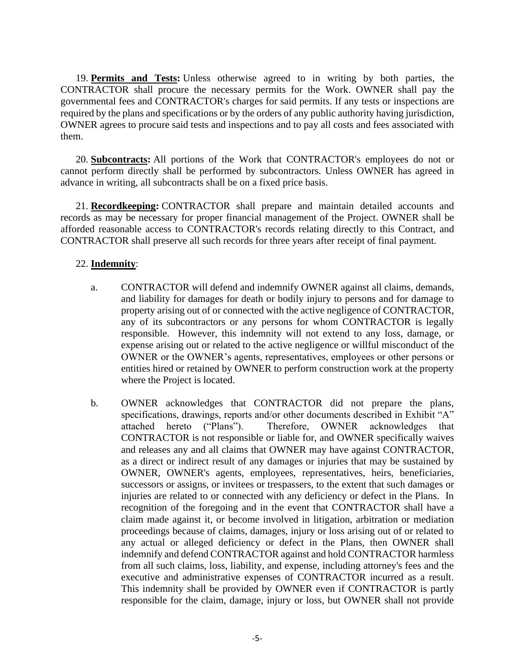19. **Permits and Tests:** Unless otherwise agreed to in writing by both parties, the CONTRACTOR shall procure the necessary permits for the Work. OWNER shall pay the governmental fees and CONTRACTOR's charges for said permits. If any tests or inspections are required by the plans and specifications or by the orders of any public authority having jurisdiction, OWNER agrees to procure said tests and inspections and to pay all costs and fees associated with them.

20. **Subcontracts:** All portions of the Work that CONTRACTOR's employees do not or cannot perform directly shall be performed by subcontractors. Unless OWNER has agreed in advance in writing, all subcontracts shall be on a fixed price basis.

21. **Recordkeeping:** CONTRACTOR shall prepare and maintain detailed accounts and records as may be necessary for proper financial management of the Project. OWNER shall be afforded reasonable access to CONTRACTOR's records relating directly to this Contract, and CONTRACTOR shall preserve all such records for three years after receipt of final payment.

## 22. **Indemnity**:

- a. CONTRACTOR will defend and indemnify OWNER against all claims, demands, and liability for damages for death or bodily injury to persons and for damage to property arising out of or connected with the active negligence of CONTRACTOR, any of its subcontractors or any persons for whom CONTRACTOR is legally responsible. However, this indemnity will not extend to any loss, damage, or expense arising out or related to the active negligence or willful misconduct of the OWNER or the OWNER's agents, representatives, employees or other persons or entities hired or retained by OWNER to perform construction work at the property where the Project is located.
- b. OWNER acknowledges that CONTRACTOR did not prepare the plans, specifications, drawings, reports and/or other documents described in Exhibit "A" attached hereto ("Plans"). Therefore, OWNER acknowledges that CONTRACTOR is not responsible or liable for, and OWNER specifically waives and releases any and all claims that OWNER may have against CONTRACTOR, as a direct or indirect result of any damages or injuries that may be sustained by OWNER, OWNER's agents, employees, representatives, heirs, beneficiaries, successors or assigns, or invitees or trespassers, to the extent that such damages or injuries are related to or connected with any deficiency or defect in the Plans. In recognition of the foregoing and in the event that CONTRACTOR shall have a claim made against it, or become involved in litigation, arbitration or mediation proceedings because of claims, damages, injury or loss arising out of or related to any actual or alleged deficiency or defect in the Plans, then OWNER shall indemnify and defend CONTRACTOR against and hold CONTRACTOR harmless from all such claims, loss, liability, and expense, including attorney's fees and the executive and administrative expenses of CONTRACTOR incurred as a result. This indemnity shall be provided by OWNER even if CONTRACTOR is partly responsible for the claim, damage, injury or loss, but OWNER shall not provide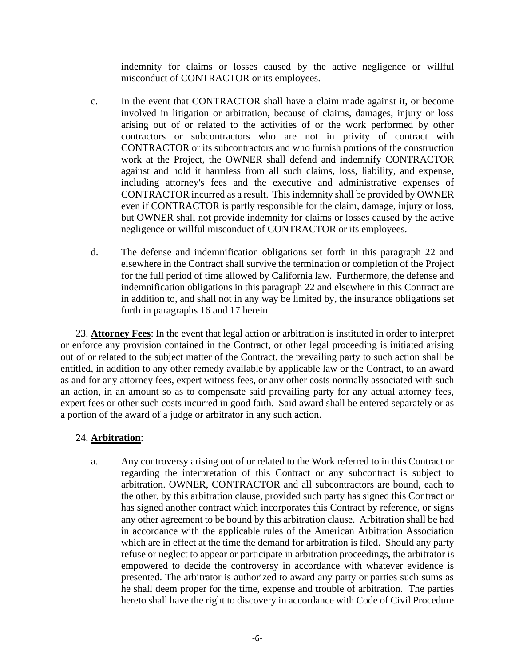indemnity for claims or losses caused by the active negligence or willful misconduct of CONTRACTOR or its employees.

- c. In the event that CONTRACTOR shall have a claim made against it, or become involved in litigation or arbitration, because of claims, damages, injury or loss arising out of or related to the activities of or the work performed by other contractors or subcontractors who are not in privity of contract with CONTRACTOR or its subcontractors and who furnish portions of the construction work at the Project, the OWNER shall defend and indemnify CONTRACTOR against and hold it harmless from all such claims, loss, liability, and expense, including attorney's fees and the executive and administrative expenses of CONTRACTOR incurred as a result. This indemnity shall be provided by OWNER even if CONTRACTOR is partly responsible for the claim, damage, injury or loss, but OWNER shall not provide indemnity for claims or losses caused by the active negligence or willful misconduct of CONTRACTOR or its employees.
- d. The defense and indemnification obligations set forth in this paragraph 22 and elsewhere in the Contract shall survive the termination or completion of the Project for the full period of time allowed by California law. Furthermore, the defense and indemnification obligations in this paragraph 22 and elsewhere in this Contract are in addition to, and shall not in any way be limited by, the insurance obligations set forth in paragraphs 16 and 17 herein.

23. **Attorney Fees**: In the event that legal action or arbitration is instituted in order to interpret or enforce any provision contained in the Contract, or other legal proceeding is initiated arising out of or related to the subject matter of the Contract, the prevailing party to such action shall be entitled, in addition to any other remedy available by applicable law or the Contract, to an award as and for any attorney fees, expert witness fees, or any other costs normally associated with such an action, in an amount so as to compensate said prevailing party for any actual attorney fees, expert fees or other such costs incurred in good faith. Said award shall be entered separately or as a portion of the award of a judge or arbitrator in any such action.

#### 24. **Arbitration**:

a. Any controversy arising out of or related to the Work referred to in this Contract or regarding the interpretation of this Contract or any subcontract is subject to arbitration. OWNER, CONTRACTOR and all subcontractors are bound, each to the other, by this arbitration clause, provided such party has signed this Contract or has signed another contract which incorporates this Contract by reference, or signs any other agreement to be bound by this arbitration clause. Arbitration shall be had in accordance with the applicable rules of the American Arbitration Association which are in effect at the time the demand for arbitration is filed. Should any party refuse or neglect to appear or participate in arbitration proceedings, the arbitrator is empowered to decide the controversy in accordance with whatever evidence is presented. The arbitrator is authorized to award any party or parties such sums as he shall deem proper for the time, expense and trouble of arbitration. The parties hereto shall have the right to discovery in accordance with Code of Civil Procedure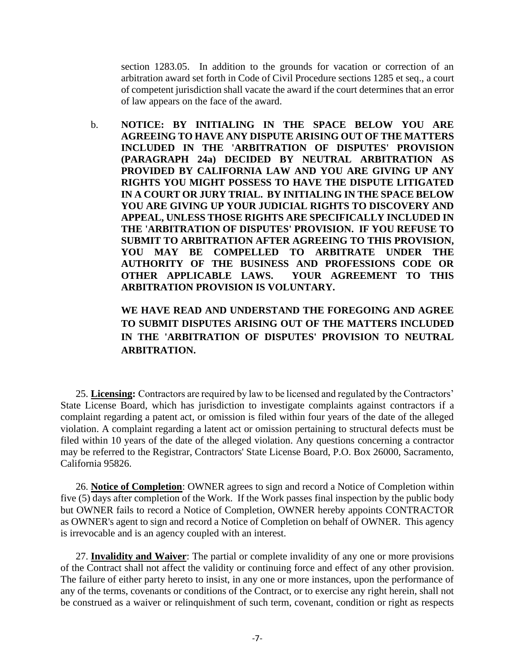section 1283.05. In addition to the grounds for vacation or correction of an arbitration award set forth in Code of Civil Procedure sections 1285 et seq., a court of competent jurisdiction shall vacate the award if the court determines that an error of law appears on the face of the award.

b. **NOTICE: BY INITIALING IN THE SPACE BELOW YOU ARE AGREEING TO HAVE ANY DISPUTE ARISING OUT OF THE MATTERS INCLUDED IN THE 'ARBITRATION OF DISPUTES' PROVISION (PARAGRAPH 24a) DECIDED BY NEUTRAL ARBITRATION AS PROVIDED BY CALIFORNIA LAW AND YOU ARE GIVING UP ANY RIGHTS YOU MIGHT POSSESS TO HAVE THE DISPUTE LITIGATED IN A COURT OR JURY TRIAL. BY INITIALING IN THE SPACE BELOW YOU ARE GIVING UP YOUR JUDICIAL RIGHTS TO DISCOVERY AND APPEAL, UNLESS THOSE RIGHTS ARE SPECIFICALLY INCLUDED IN THE 'ARBITRATION OF DISPUTES' PROVISION. IF YOU REFUSE TO SUBMIT TO ARBITRATION AFTER AGREEING TO THIS PROVISION, YOU MAY BE COMPELLED TO ARBITRATE UNDER THE AUTHORITY OF THE BUSINESS AND PROFESSIONS CODE OR OTHER APPLICABLE LAWS. YOUR AGREEMENT TO THIS ARBITRATION PROVISION IS VOLUNTARY.**

**WE HAVE READ AND UNDERSTAND THE FOREGOING AND AGREE TO SUBMIT DISPUTES ARISING OUT OF THE MATTERS INCLUDED IN THE 'ARBITRATION OF DISPUTES' PROVISION TO NEUTRAL ARBITRATION.**

25. **Licensing:** Contractors are required by law to be licensed and regulated by the Contractors' State License Board, which has jurisdiction to investigate complaints against contractors if a complaint regarding a patent act, or omission is filed within four years of the date of the alleged violation. A complaint regarding a latent act or omission pertaining to structural defects must be filed within 10 years of the date of the alleged violation. Any questions concerning a contractor may be referred to the Registrar, Contractors' State License Board, P.O. Box 26000, Sacramento, California 95826.

26. **Notice of Completion**: OWNER agrees to sign and record a Notice of Completion within five (5) days after completion of the Work. If the Work passes final inspection by the public body but OWNER fails to record a Notice of Completion, OWNER hereby appoints CONTRACTOR as OWNER's agent to sign and record a Notice of Completion on behalf of OWNER. This agency is irrevocable and is an agency coupled with an interest.

27. **Invalidity and Waiver**: The partial or complete invalidity of any one or more provisions of the Contract shall not affect the validity or continuing force and effect of any other provision. The failure of either party hereto to insist, in any one or more instances, upon the performance of any of the terms, covenants or conditions of the Contract, or to exercise any right herein, shall not be construed as a waiver or relinquishment of such term, covenant, condition or right as respects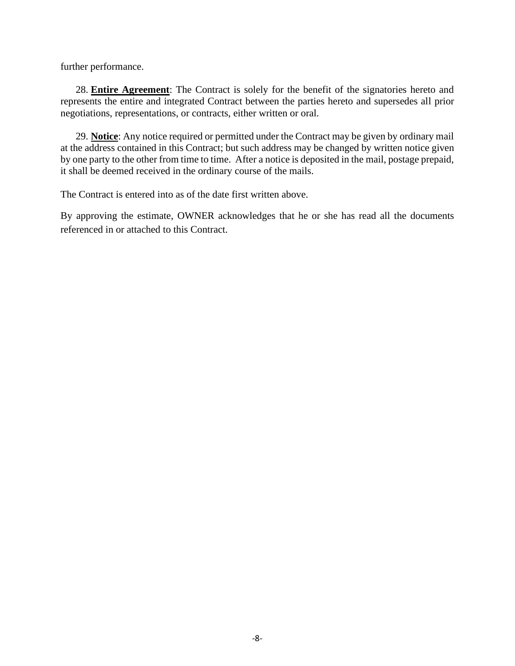further performance.

28. **Entire Agreement**: The Contract is solely for the benefit of the signatories hereto and represents the entire and integrated Contract between the parties hereto and supersedes all prior negotiations, representations, or contracts, either written or oral.

29. **Notice**: Any notice required or permitted under the Contract may be given by ordinary mail at the address contained in this Contract; but such address may be changed by written notice given by one party to the other from time to time. After a notice is deposited in the mail, postage prepaid, it shall be deemed received in the ordinary course of the mails.

The Contract is entered into as of the date first written above.

By approving the estimate, OWNER acknowledges that he or she has read all the documents referenced in or attached to this Contract.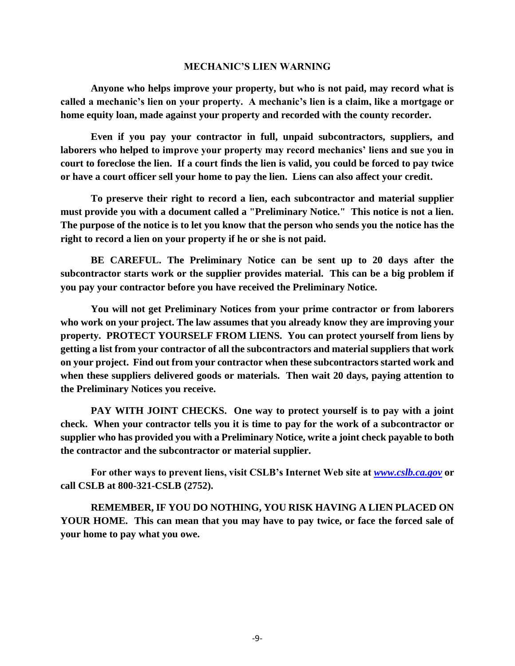#### **MECHANIC'S LIEN WARNING**

**Anyone who helps improve your property, but who is not paid, may record what is called a mechanic's lien on your property. A mechanic's lien is a claim, like a mortgage or home equity loan, made against your property and recorded with the county recorder.**

**Even if you pay your contractor in full, unpaid subcontractors, suppliers, and laborers who helped to improve your property may record mechanics' liens and sue you in court to foreclose the lien. If a court finds the lien is valid, you could be forced to pay twice or have a court officer sell your home to pay the lien. Liens can also affect your credit.** 

**To preserve their right to record a lien, each subcontractor and material supplier must provide you with a document called a "Preliminary Notice." This notice is not a lien. The purpose of the notice is to let you know that the person who sends you the notice has the right to record a lien on your property if he or she is not paid.**

**BE CAREFUL. The Preliminary Notice can be sent up to 20 days after the subcontractor starts work or the supplier provides material. This can be a big problem if you pay your contractor before you have received the Preliminary Notice.**

**You will not get Preliminary Notices from your prime contractor or from laborers who work on your project. The law assumes that you already know they are improving your property. PROTECT YOURSELF FROM LIENS. You can protect yourself from liens by getting a list from your contractor of all the subcontractors and material suppliers that work on your project. Find out from your contractor when these subcontractors started work and when these suppliers delivered goods or materials. Then wait 20 days, paying attention to the Preliminary Notices you receive.**

**PAY WITH JOINT CHECKS. One way to protect yourself is to pay with a joint check. When your contractor tells you it is time to pay for the work of a subcontractor or supplier who has provided you with a Preliminary Notice, write a joint check payable to both the contractor and the subcontractor or material supplier.**

**For other ways to prevent liens, visit CSLB's Internet Web site at** *[www.cslb.ca.gov](http://www.cslb.ca.gov/)* **or call CSLB at 800-321-CSLB (2752).**

**REMEMBER, IF YOU DO NOTHING, YOU RISK HAVING A LIEN PLACED ON YOUR HOME. This can mean that you may have to pay twice, or face the forced sale of your home to pay what you owe.**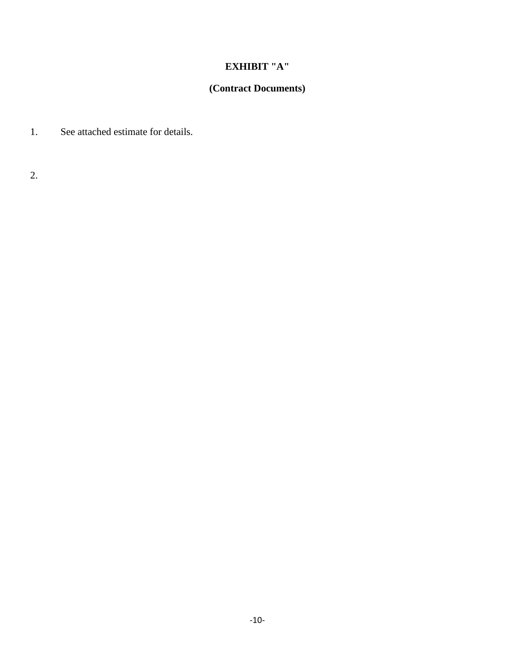# **EXHIBIT "A"**

## **(Contract Documents)**

- 1. See attached estimate for details.
- 2.